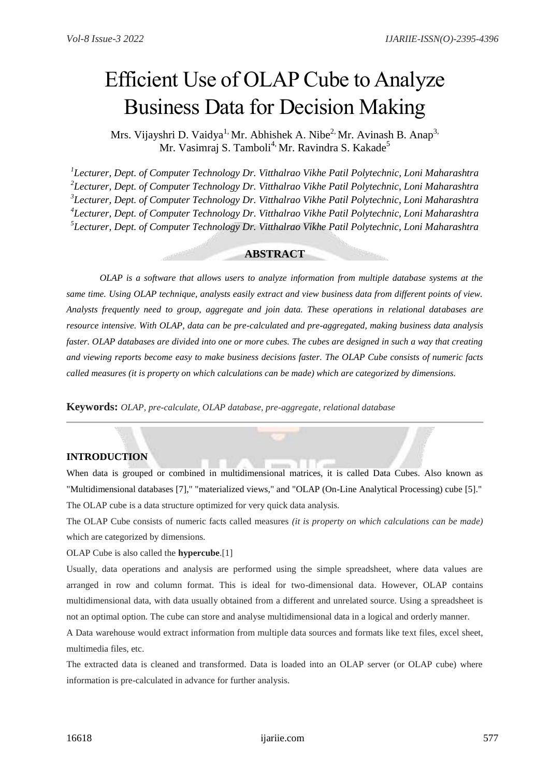# Efficient Use of OLAP Cube to Analyze Business Data for Decision Making

Mrs. Vijayshri D. Vaidya<sup>1,</sup> Mr. Abhishek A. Nibe<sup>2,</sup> Mr. Avinash B. Anap<sup>3,</sup> Mr. Vasimraj S. Tamboli<sup>4,</sup> Mr. Ravindra S. Kakade<sup>5</sup>

 *Lecturer, Dept. of Computer Technology Dr. Vitthalrao Vikhe Patil Polytechnic, Loni Maharashtra Lecturer, Dept. of Computer Technology Dr. Vitthalrao Vikhe Patil Polytechnic, Loni Maharashtra Lecturer, Dept. of Computer Technology Dr. Vitthalrao Vikhe Patil Polytechnic, Loni Maharashtra Lecturer, Dept. of Computer Technology Dr. Vitthalrao Vikhe Patil Polytechnic, Loni Maharashtra Lecturer, Dept. of Computer Technology Dr. Vitthalrao Vikhe Patil Polytechnic, Loni Maharashtra*

## **ABSTRACT**

*OLAP is a software that allows users to analyze information from multiple database systems at the same time. Using OLAP technique, analysts easily extract and view business data from different points of view. Analysts frequently need to group, aggregate and join data. These operations in relational databases are resource intensive. With OLAP, data can be pre-calculated and pre-aggregated, making business data analysis faster. OLAP databases are divided into one or more cubes. The cubes are designed in such a way that creating and viewing reports become easy to make business decisions faster. The OLAP Cube consists of numeric facts called measures (it is property on which calculations can be made) which are categorized by dimensions.*

**Keywords:** *OLAP, pre-calculate, OLAP database, pre-aggregate, relational database*

# **INTRODUCTION**

When data is grouped or combined in multidimensional matrices, it is called Data Cubes. Also known as "Multidimensional databases [7]," "materialized views," and "OLAP (On-Line Analytical Processing) cube [5]." The OLAP cube is a data structure optimized for very quick data analysis.

The OLAP Cube consists of numeric facts called measures *(it is property on which calculations can be made)* which are categorized by dimensions.

#### OLAP Cube is also called the **hypercube**.[1]

Usually, data operations and analysis are performed using the simple spreadsheet, where data values are arranged in row and column format. This is ideal for two-dimensional data. However, OLAP contains multidimensional data, with data usually obtained from a different and unrelated source. Using a spreadsheet is not an optimal option. The cube can store and analyse multidimensional data in a logical and orderly manner.

A Data warehouse would extract information from multiple data sources and formats like text files, excel sheet, multimedia files, etc.

The extracted data is cleaned and transformed. Data is loaded into an OLAP server (or OLAP cube) where information is pre-calculated in advance for further analysis.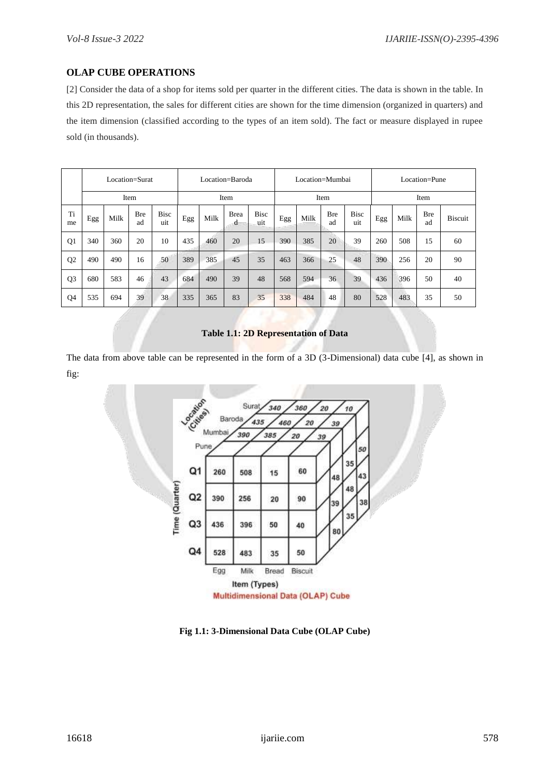# **OLAP CUBE OPERATIONS**

[2] Consider the data of a shop for items sold per quarter in the different cities. The data is shown in the table. In this 2D representation, the sales for different cities are shown for the time dimension (organized in quarters) and the item dimension (classified according to the types of an item sold). The fact or measure displayed in rupee sold (in thousands).

|                | Location=Surat |      |                  |                    | Location=Baroda |      |                  |                    | Location=Mumbai |      |                  |                    | Location=Pune |      |                  |                |
|----------------|----------------|------|------------------|--------------------|-----------------|------|------------------|--------------------|-----------------|------|------------------|--------------------|---------------|------|------------------|----------------|
|                | Item           |      |                  |                    | Item            |      |                  |                    | Item            |      |                  |                    | Item          |      |                  |                |
| Ti<br>me       | Egg            | Milk | <b>Bre</b><br>ad | <b>Bisc</b><br>uit | Egg             | Milk | <b>Brea</b><br>d | <b>Bisc</b><br>uit | Egg             | Milk | <b>Bre</b><br>ad | <b>Bisc</b><br>uit | Egg           | Milk | <b>Bre</b><br>ad | <b>Biscuit</b> |
| Q1             | 340            | 360  | 20               | 10                 | 435             | 460  | 20               | 15                 | 390             | 385  | 20               | 39                 | 260           | 508  | 15               | 60             |
| Q <sub>2</sub> | 490            | 490  | 16               | 50                 | 389             | 385  | 45               | 35                 | 463             | 366  | 25               | 48                 | 390           | 256  | 20               | 90             |
| Q <sub>3</sub> | 680            | 583  | 46               | 43                 | 684             | 490  | 39               | 48                 | 568             | 594  | 36               | 39                 | 436           | 396  | 50               | 40             |
| Q4             | 535            | 694  | 39               | 38                 | 335             | 365  | 83               | 35                 | 338             | 484  | 48               | 80                 | 528           | 483  | 35               | 50             |

# **Table 1.1: 2D Representation of Data**

The data from above table can be represented in the form of a 3D (3-Dimensional) data cube [4], as shown in fig:



**Fig 1.1: 3-Dimensional Data Cube (OLAP Cube)**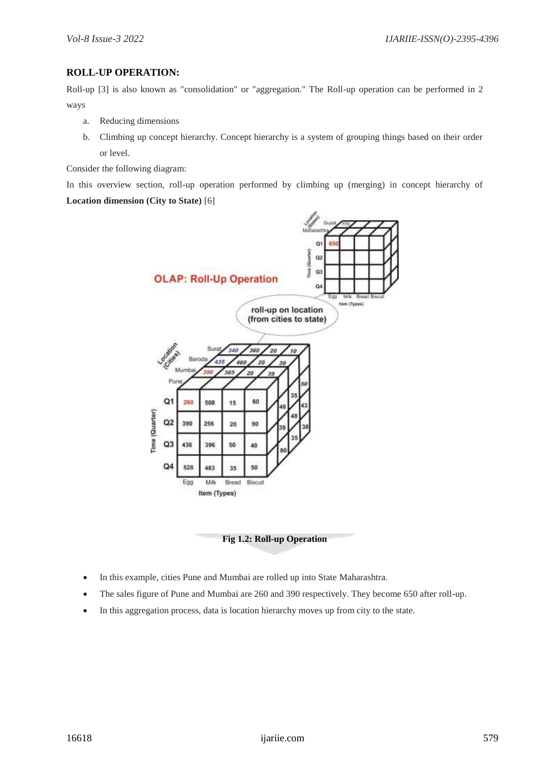# **ROLL-UP OPERATION:**

Roll-up [3] is also known as "consolidation" or "aggregation." The Roll-up operation can be performed in 2 ways

- a. Reducing dimensions
- b. Climbing up concept hierarchy. Concept hierarchy is a system of grouping things based on their order or level.

Consider the following diagram:

In this overview section, roll-up operation performed by climbing up (merging) in concept hierarchy of **Location dimension (City to State)** [6]





- In this example, cities Pune and Mumbai are rolled up into State Maharashtra.
- The sales figure of Pune and Mumbai are 260 and 390 respectively. They become 650 after roll-up.
- In this aggregation process, data is location hierarchy moves up from city to the state.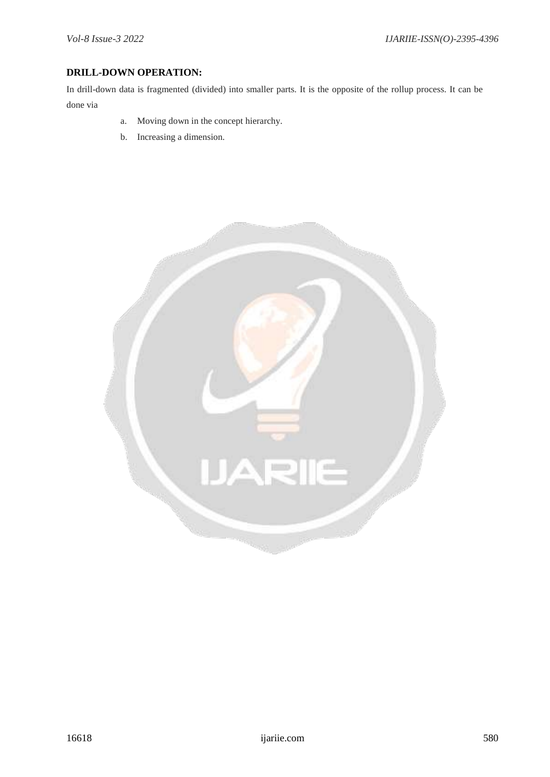# **DRILL-DOWN OPERATION:**

In drill-down data is fragmented (divided) into smaller parts. It is the opposite of the rollup process. It can be done via

- a. Moving down in the concept hierarchy.
- b. Increasing a dimension.

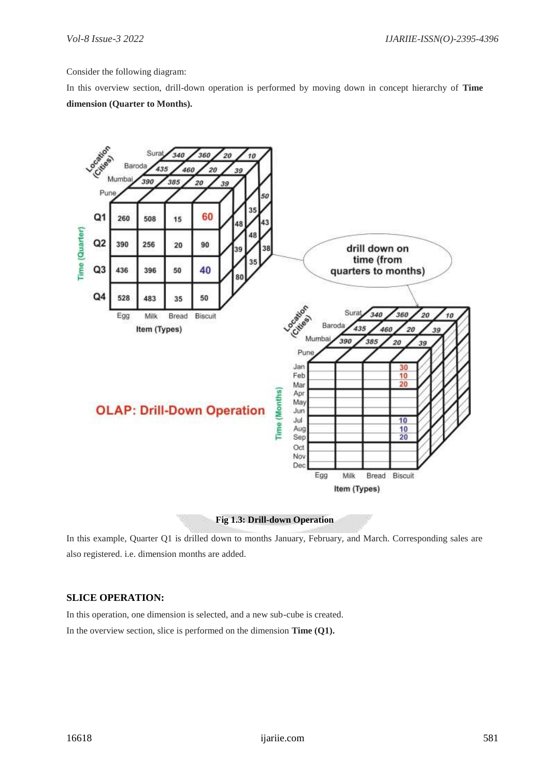Consider the following diagram:

In this overview section, drill-down operation is performed by moving down in concept hierarchy of **Time dimension (Quarter to Months).**



## **Fig 1.3: Drill-down Operation**

In this example, Quarter Q1 is drilled down to months January, February, and March. Corresponding sales are also registered. i.e. dimension months are added.

# **SLICE OPERATION:**

In this operation, one dimension is selected, and a new sub-cube is created. In the overview section, slice is performed on the dimension **Time (Q1).**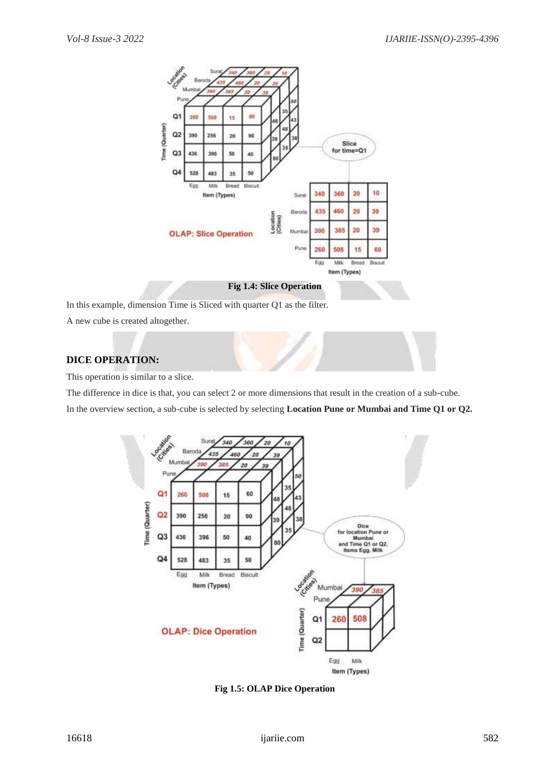

## **Fig 1.4: Slice Operation**

In this example, dimension Time is Sliced with quarter Q1 as the filter.

A new cube is created altogether.

# **DICE OPERATION:**

This operation is similar to a slice.

The difference in dice is that, you can select 2 or more dimensions that result in the creation of a sub-cube. In the overview section, a sub-cube is selected by selecting **Location Pune or Mumbai and Time Q1 or Q2.**



**Fig 1.5: OLAP Dice Operation**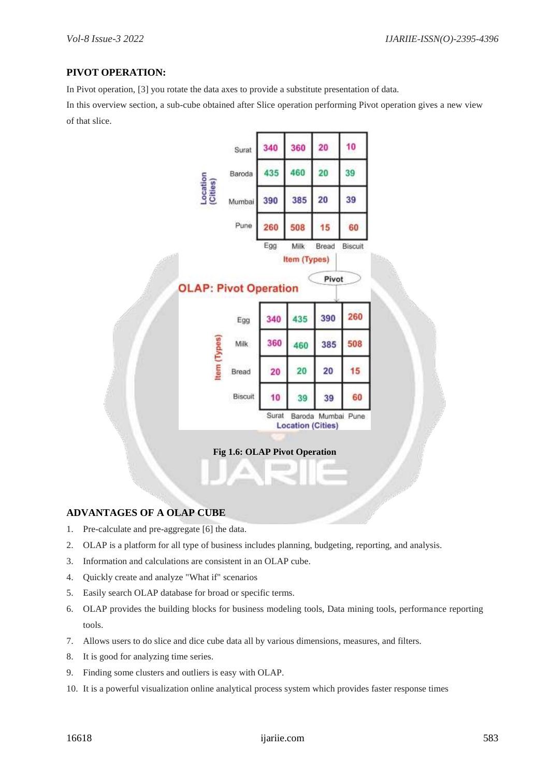# **PIVOT OPERATION:**

In Pivot operation, [3] you rotate the data axes to provide a substitute presentation of data.

In this overview section, a sub-cube obtained after Slice operation performing Pivot operation gives a new view of that slice.



## **ADVANTAGES OF A OLAP CUBE**

- 1. Pre-calculate and pre-aggregate [6] the data.
- 2. OLAP is a platform for all type of business includes planning, budgeting, reporting, and analysis.
- 3. Information and calculations are consistent in an OLAP cube.
- 4. Quickly create and analyze "What if" scenarios
- 5. Easily search OLAP database for broad or specific terms.
- 6. OLAP provides the building blocks for business modeling tools, Data mining tools, performance reporting tools.
- 7. Allows users to do slice and dice cube data all by various dimensions, measures, and filters.
- 8. It is good for analyzing time series.
- 9. Finding some clusters and outliers is easy with OLAP.
- 10. It is a powerful visualization online analytical process system which provides faster response times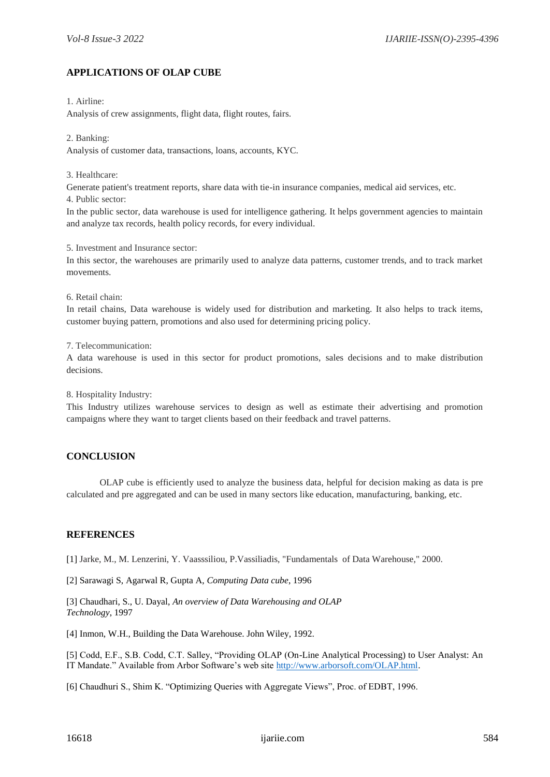# **APPLICATIONS OF OLAP CUBE**

## 1. Airline:

Analysis of crew assignments, flight data, flight routes, fairs.

#### 2. Banking:

Analysis of customer data, transactions, loans, accounts, KYC.

## 3. Healthcare:

Generate patient's treatment reports, share data with tie-in insurance companies, medical aid services, etc.

4. Public sector:

In the public sector, data warehouse is used for intelligence gathering. It helps government agencies to maintain and analyze tax records, health policy records, for every individual.

5. Investment and Insurance sector:

In this sector, the warehouses are primarily used to analyze data patterns, customer trends, and to track market movements.

## 6. Retail chain:

In retail chains, Data warehouse is widely used for distribution and marketing. It also helps to track items, customer buying pattern, promotions and also used for determining pricing policy.

7. Telecommunication:

A data warehouse is used in this sector for product promotions, sales decisions and to make distribution decisions.

8. Hospitality Industry:

This Industry utilizes warehouse services to design as well as estimate their advertising and promotion campaigns where they want to target clients based on their feedback and travel patterns.

# **CONCLUSION**

OLAP cube is efficiently used to analyze the business data, helpful for decision making as data is pre calculated and pre aggregated and can be used in many sectors like education, manufacturing, banking, etc.

# **REFERENCES**

[1] Jarke, M., M. Lenzerini, Y. Vaasssiliou, P.Vassiliadis, "Fundamentals of Data Warehouse," 2000.

[2] Sarawagi S, Agarwal R, Gupta A, *Computing Data cube*, 1996

[3] Chaudhari, S., U. Dayal, *An overview of Data Warehousing and OLAP Technology*, 1997

[4] Inmon, W.H., Building the Data Warehouse. John Wiley, 1992.

[5] Codd, E.F., S.B. Codd, C.T. Salley, "Providing OLAP (On-Line Analytical Processing) to User Analyst: An IT Mandate." Available from Arbor Software's web site [http://www.arborsoft.com/OLAP.html.](http://www.arborsoft.com/OLAP.html)

[6] Chaudhuri S., Shim K. "Optimizing Queries with Aggregate Views", Proc. of EDBT, 1996.